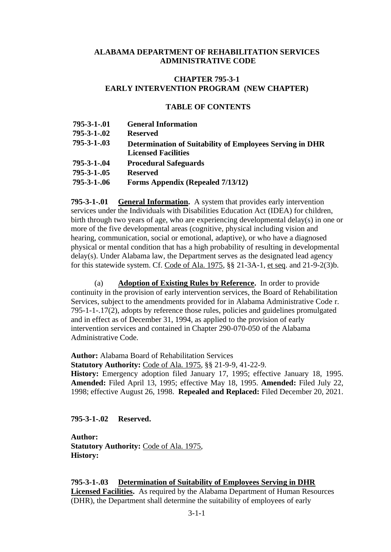#### **ALABAMA DEPARTMENT OF REHABILITATION SERVICES ADMINISTRATIVE CODE**

## **CHAPTER 795-3-1 EARLY INTERVENTION PROGRAM (NEW CHAPTER)**

#### **TABLE OF CONTENTS**

**795-3-1-.01 General Information 795-3-1-.02 Reserved 795-3-1-.03 Determination of Suitability of Employees Serving in DHR Licensed Facilities 795-3-1-.04 Procedural Safeguards 795-3-1-.05 Reserved 795-3-1-.06 Forms Appendix (Repealed 7/13/12)**

**795-3-1-.01 General Information.** A system that provides early intervention services under the Individuals with Disabilities Education Act (IDEA) for children, birth through two years of age, who are experiencing developmental delay(s) in one or more of the five developmental areas (cognitive, physical including vision and hearing, communication, social or emotional, adaptive), or who have a diagnosed physical or mental condition that has a high probability of resulting in developmental delay(s). Under Alabama law, the Department serves as the designated lead agency for this statewide system. Cf. Code of Ala. 1975, §§ 21-3A-1, et seq. and 21-9-2(3)b.

(a) **Adoption of Existing Rules by Reference.** In order to provide continuity in the provision of early intervention services, the Board of Rehabilitation Services, subject to the amendments provided for in Alabama Administrative Code r. 795-1-1-.17(2), adopts by reference those rules, policies and guidelines promulgated and in effect as of December 31, 1994, as applied to the provision of early intervention services and contained in Chapter 290-070-050 of the Alabama Administrative Code.

**Author:** Alabama Board of Rehabilitation Services

**Statutory Authority:** Code of Ala. 1975, §§ 21-9-9, 41-22-9.

**History:** Emergency adoption filed January 17, 1995; effective January 18, 1995. **Amended:** Filed April 13, 1995; effective May 18, 1995. **Amended:** Filed July 22, 1998; effective August 26, 1998. **Repealed and Replaced:** Filed December 20, 2021.

## **795-3-1-.02 Reserved.**

**Author: Statutory Authority:** Code of Ala. 1975, **History:**

**795-3-1-.03 Determination of Suitability of Employees Serving in DHR Licensed Facilities.** As required by the Alabama Department of Human Resources (DHR), the Department shall determine the suitability of employees of early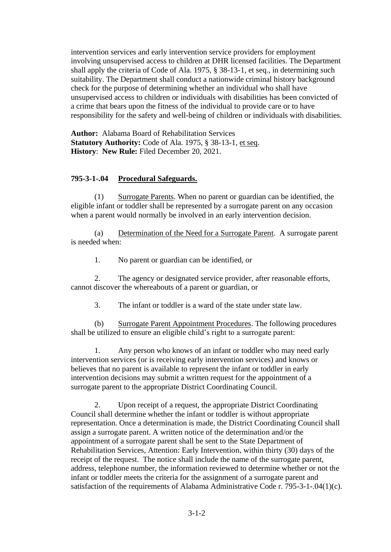intervention services and early intervention service providers for employment involving unsupervised access to children at DHR licensed facilities. The Department shall apply the criteria of Code of Ala. 1975, § 38-13-1, et seq., in determining such suitability. The Department shall conduct a nationwide criminal history background check for the purpose of determining whether an individual who shall have unsupervised access to children or individuals with disabilities has been convicted of a crime that bears upon the fitness of the individual to provide care or to have responsibility for the safety and well-being of children or individuals with disabilities.

**Author:** Alabama Board of Rehabilitation Services **Statutory Authority:** Code of Ala. 1975, § 38-13-1, et seq. **History**: **New Rule:** Filed December 20, 2021.

## **795-3-1-.04 Procedural Safeguards.**

(1) Surrogate Parents. When no parent or guardian can be identified, the eligible infant or toddler shall be represented by a surrogate parent on any occasion when a parent would normally be involved in an early intervention decision.

(a) Determination of the Need for a Surrogate Parent. A surrogate parent is needed when:

1. No parent or guardian can be identified, or

2. The agency or designated service provider, after reasonable efforts, cannot discover the whereabouts of a parent or guardian, or

3. The infant or toddler is a ward of the state under state law.

(b) Surrogate Parent Appointment Procedures. The following procedures shall be utilized to ensure an eligible child's right to a surrogate parent:

1. Any person who knows of an infant or toddler who may need early intervention services (or is receiving early intervention services) and knows or believes that no parent is available to represent the infant or toddler in early intervention decisions may submit a written request for the appointment of a surrogate parent to the appropriate District Coordinating Council.

2. Upon receipt of a request, the appropriate District Coordinating Council shall determine whether the infant or toddler is without appropriate representation. Once a determination is made, the District Coordinating Council shall assign a surrogate parent. A written notice of the determination and/or the appointment of a surrogate parent shall be sent to the State Department of Rehabilitation Services, Attention: Early Intervention, within thirty (30) days of the receipt of the request. The notice shall include the name of the surrogate parent, address, telephone number, the information reviewed to determine whether or not the infant or toddler meets the criteria for the assignment of a surrogate parent and satisfaction of the requirements of Alabama Administrative Code r. 795-3-1-.04(1)(c).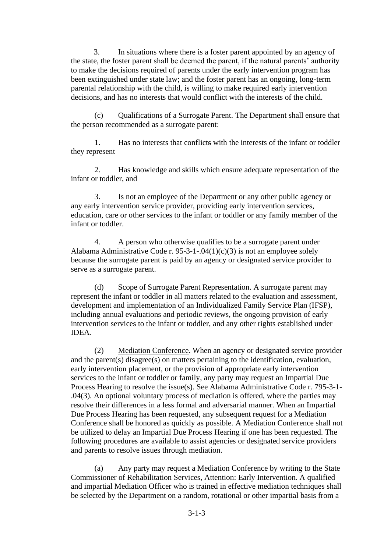3. In situations where there is a foster parent appointed by an agency of the state, the foster parent shall be deemed the parent, if the natural parents' authority to make the decisions required of parents under the early intervention program has been extinguished under state law; and the foster parent has an ongoing, long-term parental relationship with the child, is willing to make required early intervention decisions, and has no interests that would conflict with the interests of the child.

(c) Qualifications of a Surrogate Parent. The Department shall ensure that the person recommended as a surrogate parent:

1. Has no interests that conflicts with the interests of the infant or toddler they represent

2. Has knowledge and skills which ensure adequate representation of the infant or toddler, and

3. Is not an employee of the Department or any other public agency or any early intervention service provider, providing early intervention services, education, care or other services to the infant or toddler or any family member of the infant or toddler.

4. A person who otherwise qualifies to be a surrogate parent under Alabama Administrative Code r. 95-3-1-.04(1)(c)(3) is not an employee solely because the surrogate parent is paid by an agency or designated service provider to serve as a surrogate parent.

(d) Scope of Surrogate Parent Representation. A surrogate parent may represent the infant or toddler in all matters related to the evaluation and assessment, development and implementation of an Individualized Family Service Plan (IFSP), including annual evaluations and periodic reviews, the ongoing provision of early intervention services to the infant or toddler, and any other rights established under IDEA.

(2) Mediation Conference. When an agency or designated service provider and the parent(s) disagree(s) on matters pertaining to the identification, evaluation, early intervention placement, or the provision of appropriate early intervention services to the infant or toddler or family, any party may request an Impartial Due Process Hearing to resolve the issue(s). See Alabama Administrative Code r. 795-3-1- .04(3). An optional voluntary process of mediation is offered, where the parties may resolve their differences in a less formal and adversarial manner. When an Impartial Due Process Hearing has been requested, any subsequent request for a Mediation Conference shall be honored as quickly as possible. A Mediation Conference shall not be utilized to delay an Impartial Due Process Hearing if one has been requested. The following procedures are available to assist agencies or designated service providers and parents to resolve issues through mediation.

(a) Any party may request a Mediation Conference by writing to the State Commissioner of Rehabilitation Services, Attention: Early Intervention. A qualified and impartial Mediation Officer who is trained in effective mediation techniques shall be selected by the Department on a random, rotational or other impartial basis from a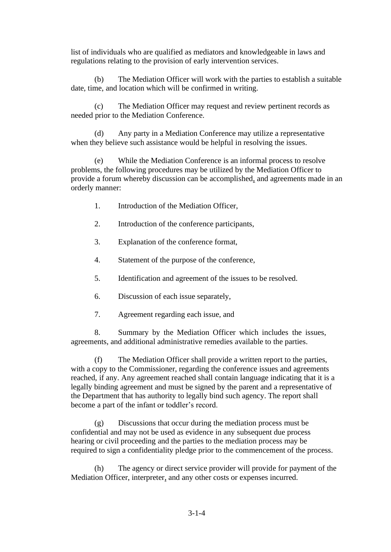list of individuals who are qualified as mediators and knowledgeable in laws and regulations relating to the provision of early intervention services.

(b) The Mediation Officer will work with the parties to establish a suitable date, time, and location which will be confirmed in writing.

(c) The Mediation Officer may request and review pertinent records as needed prior to the Mediation Conference.

(d) Any party in a Mediation Conference may utilize a representative when they believe such assistance would be helpful in resolving the issues.

(e) While the Mediation Conference is an informal process to resolve problems, the following procedures may be utilized by the Mediation Officer to provide a forum whereby discussion can be accomplished, and agreements made in an orderly manner:

- 1. Introduction of the Mediation Officer,
- 2. Introduction of the conference participants,
- 3. Explanation of the conference format,
- 4. Statement of the purpose of the conference,
- 5. Identification and agreement of the issues to be resolved.
- 6. Discussion of each issue separately,
- 7. Agreement regarding each issue, and

8. Summary by the Mediation Officer which includes the issues, agreements, and additional administrative remedies available to the parties.

(f) The Mediation Officer shall provide a written report to the parties, with a copy to the Commissioner, regarding the conference issues and agreements reached, if any. Any agreement reached shall contain language indicating that it is a legally binding agreement and must be signed by the parent and a representative of the Department that has authority to legally bind such agency. The report shall become a part of the infant or toddler's record.

(g) Discussions that occur during the mediation process must be confidential and may not be used as evidence in any subsequent due process hearing or civil proceeding and the parties to the mediation process may be required to sign a confidentiality pledge prior to the commencement of the process.

(h) The agency or direct service provider will provide for payment of the Mediation Officer, interpreter, and any other costs or expenses incurred.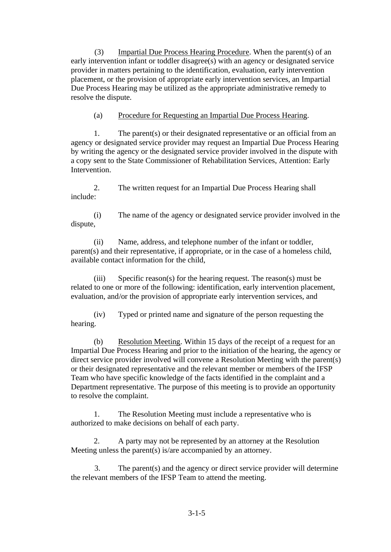(3) Impartial Due Process Hearing Procedure. When the parent(s) of an early intervention infant or toddler disagree(s) with an agency or designated service provider in matters pertaining to the identification, evaluation, early intervention placement, or the provision of appropriate early intervention services, an Impartial Due Process Hearing may be utilized as the appropriate administrative remedy to resolve the dispute.

(a) Procedure for Requesting an Impartial Due Process Hearing.

1. The parent(s) or their designated representative or an official from an agency or designated service provider may request an Impartial Due Process Hearing by writing the agency or the designated service provider involved in the dispute with a copy sent to the State Commissioner of Rehabilitation Services, Attention: Early Intervention.

2. The written request for an Impartial Due Process Hearing shall include:

(i) The name of the agency or designated service provider involved in the dispute,

(ii) Name, address, and telephone number of the infant or toddler, parent(s) and their representative, if appropriate, or in the case of a homeless child, available contact information for the child,

(iii) Specific reason(s) for the hearing request. The reason(s) must be related to one or more of the following: identification, early intervention placement, evaluation, and/or the provision of appropriate early intervention services, and

(iv) Typed or printed name and signature of the person requesting the hearing.

(b) Resolution Meeting. Within 15 days of the receipt of a request for an Impartial Due Process Hearing and prior to the initiation of the hearing, the agency or direct service provider involved will convene a Resolution Meeting with the parent(s) or their designated representative and the relevant member or members of the IFSP Team who have specific knowledge of the facts identified in the complaint and a Department representative. The purpose of this meeting is to provide an opportunity to resolve the complaint.

1. The Resolution Meeting must include a representative who is authorized to make decisions on behalf of each party.

2. A party may not be represented by an attorney at the Resolution Meeting unless the parent(s) is/are accompanied by an attorney.

3. The parent(s) and the agency or direct service provider will determine the relevant members of the IFSP Team to attend the meeting.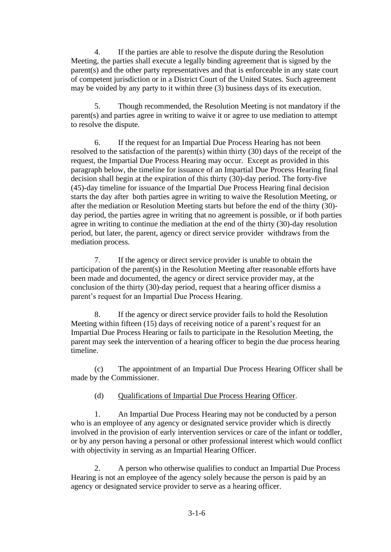4. If the parties are able to resolve the dispute during the Resolution Meeting, the parties shall execute a legally binding agreement that is signed by the parent(s) and the other party representatives and that is enforceable in any state court of competent jurisdiction or in a District Court of the United States. Such agreement may be voided by any party to it within three (3) business days of its execution.

5. Though recommended, the Resolution Meeting is not mandatory if the parent(s) and parties agree in writing to waive it or agree to use mediation to attempt to resolve the dispute.

6. If the request for an Impartial Due Process Hearing has not been resolved to the satisfaction of the parent(s) within thirty (30) days of the receipt of the request, the Impartial Due Process Hearing may occur. Except as provided in this paragraph below, the timeline for issuance of an Impartial Due Process Hearing final decision shall begin at the expiration of this thirty (30)-day period. The forty-five (45)-day timeline for issuance of the Impartial Due Process Hearing final decision starts the day after both parties agree in writing to waive the Resolution Meeting, or after the mediation or Resolution Meeting starts but before the end of the thirty (30) day period, the parties agree in writing that no agreement is possible, or if both parties agree in writing to continue the mediation at the end of the thirty (30)-day resolution period, but later, the parent, agency or direct service provider withdraws from the mediation process.

7. If the agency or direct service provider is unable to obtain the participation of the parent(s) in the Resolution Meeting after reasonable efforts have been made and documented, the agency or direct service provider may, at the conclusion of the thirty (30)-day period, request that a hearing officer dismiss a parent's request for an Impartial Due Process Hearing.

8. If the agency or direct service provider fails to hold the Resolution Meeting within fifteen (15) days of receiving notice of a parent's request for an Impartial Due Process Hearing or fails to participate in the Resolution Meeting, the parent may seek the intervention of a hearing officer to begin the due process hearing timeline.

(c) The appointment of an Impartial Due Process Hearing Officer shall be made by the Commissioner.

(d) Qualifications of Impartial Due Process Hearing Officer.

1. An Impartial Due Process Hearing may not be conducted by a person who is an employee of any agency or designated service provider which is directly involved in the provision of early intervention services or care of the infant or toddler, or by any person having a personal or other professional interest which would conflict with objectivity in serving as an Impartial Hearing Officer.

2. A person who otherwise qualifies to conduct an Impartial Due Process Hearing is not an employee of the agency solely because the person is paid by an agency or designated service provider to serve as a hearing officer.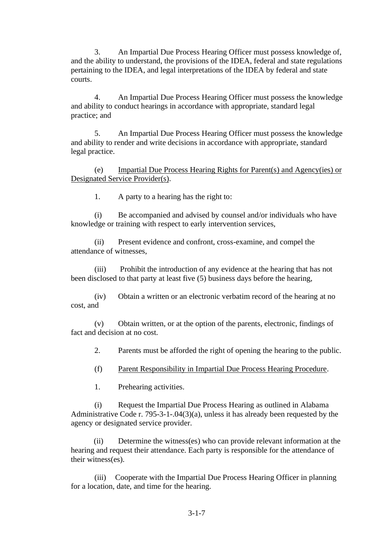3. An Impartial Due Process Hearing Officer must possess knowledge of, and the ability to understand, the provisions of the IDEA, federal and state regulations pertaining to the IDEA, and legal interpretations of the IDEA by federal and state courts.

4. An Impartial Due Process Hearing Officer must possess the knowledge and ability to conduct hearings in accordance with appropriate, standard legal practice; and

5. An Impartial Due Process Hearing Officer must possess the knowledge and ability to render and write decisions in accordance with appropriate, standard legal practice.

(e) Impartial Due Process Hearing Rights for Parent(s) and Agency(ies) or Designated Service Provider(s).

1. A party to a hearing has the right to:

(i) Be accompanied and advised by counsel and/or individuals who have knowledge or training with respect to early intervention services,

(ii) Present evidence and confront, cross-examine, and compel the attendance of witnesses,

(iii) Prohibit the introduction of any evidence at the hearing that has not been disclosed to that party at least five (5) business days before the hearing,

(iv) Obtain a written or an electronic verbatim record of the hearing at no cost, and

(v) Obtain written, or at the option of the parents, electronic, findings of fact and decision at no cost.

2. Parents must be afforded the right of opening the hearing to the public.

(f) Parent Responsibility in Impartial Due Process Hearing Procedure.

1. Prehearing activities.

(i) Request the Impartial Due Process Hearing as outlined in Alabama Administrative Code r. 795-3-1-.04(3)(a), unless it has already been requested by the agency or designated service provider.

(ii) Determine the witness(es) who can provide relevant information at the hearing and request their attendance. Each party is responsible for the attendance of their witness(es).

(iii) Cooperate with the Impartial Due Process Hearing Officer in planning for a location, date, and time for the hearing.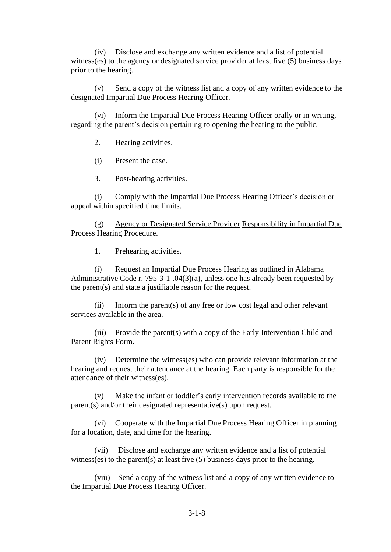(iv) Disclose and exchange any written evidence and a list of potential witness(es) to the agency or designated service provider at least five (5) business days prior to the hearing.

(v) Send a copy of the witness list and a copy of any written evidence to the designated Impartial Due Process Hearing Officer.

(vi) Inform the Impartial Due Process Hearing Officer orally or in writing, regarding the parent's decision pertaining to opening the hearing to the public.

2. Hearing activities.

(i) Present the case.

3. Post-hearing activities.

(i) Comply with the Impartial Due Process Hearing Officer's decision or appeal within specified time limits.

(g) Agency or Designated Service Provider Responsibility in Impartial Due Process Hearing Procedure.

1. Prehearing activities.

(i) Request an Impartial Due Process Hearing as outlined in Alabama Administrative Code r. 795-3-1-.04(3)(a), unless one has already been requested by the parent(s) and state a justifiable reason for the request.

(ii) Inform the parent(s) of any free or low cost legal and other relevant services available in the area.

(iii) Provide the parent(s) with a copy of the Early Intervention Child and Parent Rights Form.

(iv) Determine the witness(es) who can provide relevant information at the hearing and request their attendance at the hearing. Each party is responsible for the attendance of their witness(es).

(v) Make the infant or toddler's early intervention records available to the parent(s) and/or their designated representative(s) upon request.

(vi) Cooperate with the Impartial Due Process Hearing Officer in planning for a location, date, and time for the hearing.

(vii) Disclose and exchange any written evidence and a list of potential witness(es) to the parent(s) at least five (5) business days prior to the hearing.

(viii) Send a copy of the witness list and a copy of any written evidence to the Impartial Due Process Hearing Officer.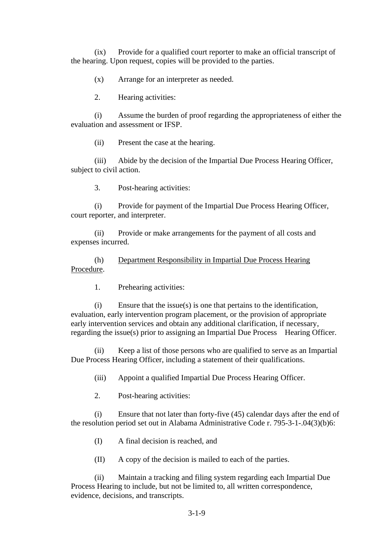(ix) Provide for a qualified court reporter to make an official transcript of the hearing. Upon request, copies will be provided to the parties.

(x) Arrange for an interpreter as needed.

2. Hearing activities:

(i) Assume the burden of proof regarding the appropriateness of either the evaluation and assessment or IFSP.

(ii) Present the case at the hearing.

(iii) Abide by the decision of the Impartial Due Process Hearing Officer, subject to civil action.

3. Post-hearing activities:

(i) Provide for payment of the Impartial Due Process Hearing Officer, court reporter, and interpreter.

(ii) Provide or make arrangements for the payment of all costs and expenses incurred.

(h) Department Responsibility in Impartial Due Process Hearing Procedure.

1. Prehearing activities:

(i) Ensure that the issue(s) is one that pertains to the identification, evaluation, early intervention program placement, or the provision of appropriate early intervention services and obtain any additional clarification, if necessary, regarding the issue(s) prior to assigning an Impartial Due Process Hearing Officer.

(ii) Keep a list of those persons who are qualified to serve as an Impartial Due Process Hearing Officer, including a statement of their qualifications.

(iii) Appoint a qualified Impartial Due Process Hearing Officer.

2. Post-hearing activities:

(i) Ensure that not later than forty-five (45) calendar days after the end of the resolution period set out in Alabama Administrative Code r. 795-3-1-.04(3)(b)6:

(I) A final decision is reached, and

(II) A copy of the decision is mailed to each of the parties.

(ii) Maintain a tracking and filing system regarding each Impartial Due Process Hearing to include, but not be limited to, all written correspondence, evidence, decisions, and transcripts.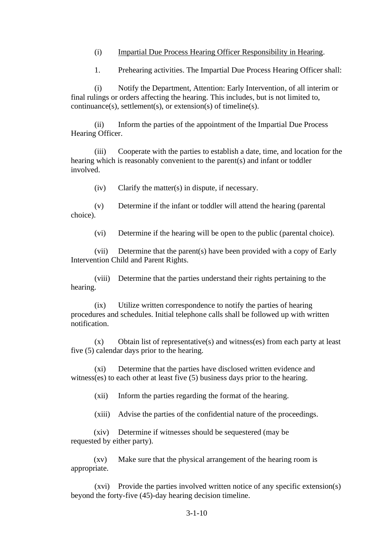#### (i) Impartial Due Process Hearing Officer Responsibility in Hearing.

1. Prehearing activities. The Impartial Due Process Hearing Officer shall:

(i) Notify the Department, Attention: Early Intervention, of all interim or final rulings or orders affecting the hearing. This includes, but is not limited to, continuance(s), settlement(s), or extension(s) of timeline(s).

(ii) Inform the parties of the appointment of the Impartial Due Process Hearing Officer.

(iii) Cooperate with the parties to establish a date, time, and location for the hearing which is reasonably convenient to the parent(s) and infant or toddler involved.

(iv) Clarify the matter(s) in dispute, if necessary.

(v) Determine if the infant or toddler will attend the hearing (parental choice).

(vi) Determine if the hearing will be open to the public (parental choice).

(vii) Determine that the parent(s) have been provided with a copy of Early Intervention Child and Parent Rights.

(viii) Determine that the parties understand their rights pertaining to the hearing.

(ix) Utilize written correspondence to notify the parties of hearing procedures and schedules. Initial telephone calls shall be followed up with written notification.

(x) Obtain list of representative(s) and witness(es) from each party at least five (5) calendar days prior to the hearing.

(xi) Determine that the parties have disclosed written evidence and witness(es) to each other at least five (5) business days prior to the hearing.

(xii) Inform the parties regarding the format of the hearing.

(xiii) Advise the parties of the confidential nature of the proceedings.

(xiv) Determine if witnesses should be sequestered (may be requested by either party).

(xv) Make sure that the physical arrangement of the hearing room is appropriate.

(xvi) Provide the parties involved written notice of any specific extension(s) beyond the forty-five (45)-day hearing decision timeline.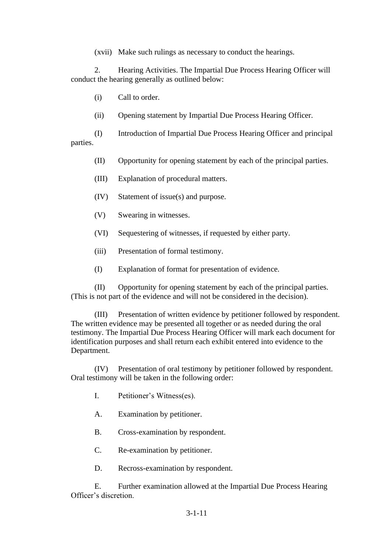(xvii) Make such rulings as necessary to conduct the hearings.

2. Hearing Activities. The Impartial Due Process Hearing Officer will conduct the hearing generally as outlined below:

(i) Call to order.

(ii) Opening statement by Impartial Due Process Hearing Officer.

(I) Introduction of Impartial Due Process Hearing Officer and principal parties.

- (II) Opportunity for opening statement by each of the principal parties.
- (III) Explanation of procedural matters.
- (IV) Statement of issue(s) and purpose.
- (V) Swearing in witnesses.
- (VI) Sequestering of witnesses, if requested by either party.
- (iii) Presentation of formal testimony.
- (I) Explanation of format for presentation of evidence.

(II) Opportunity for opening statement by each of the principal parties. (This is not part of the evidence and will not be considered in the decision).

(III) Presentation of written evidence by petitioner followed by respondent. The written evidence may be presented all together or as needed during the oral testimony. The Impartial Due Process Hearing Officer will mark each document for identification purposes and shall return each exhibit entered into evidence to the Department.

(IV) Presentation of oral testimony by petitioner followed by respondent. Oral testimony will be taken in the following order:

- I. Petitioner's Witness(es).
- A. Examination by petitioner.
- B. Cross-examination by respondent.
- C. Re-examination by petitioner.
- D. Recross-examination by respondent.

E. Further examination allowed at the Impartial Due Process Hearing Officer's discretion.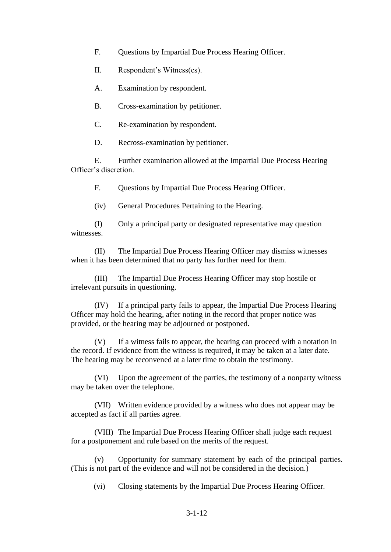- F. Questions by Impartial Due Process Hearing Officer.
- II. Respondent's Witness(es).
- A. Examination by respondent.
- B. Cross-examination by petitioner.
- C. Re-examination by respondent.
- D. Recross-examination by petitioner.

E. Further examination allowed at the Impartial Due Process Hearing Officer's discretion.

F. Questions by Impartial Due Process Hearing Officer.

(iv) General Procedures Pertaining to the Hearing.

(I) Only a principal party or designated representative may question witnesses.

(II) The Impartial Due Process Hearing Officer may dismiss witnesses when it has been determined that no party has further need for them.

(III) The Impartial Due Process Hearing Officer may stop hostile or irrelevant pursuits in questioning.

(IV) If a principal party fails to appear, the Impartial Due Process Hearing Officer may hold the hearing, after noting in the record that proper notice was provided, or the hearing may be adjourned or postponed.

(V) If a witness fails to appear, the hearing can proceed with a notation in the record. If evidence from the witness is required, it may be taken at a later date. The hearing may be reconvened at a later time to obtain the testimony.

(VI) Upon the agreement of the parties, the testimony of a nonparty witness may be taken over the telephone.

(VII) Written evidence provided by a witness who does not appear may be accepted as fact if all parties agree.

(VIII) The Impartial Due Process Hearing Officer shall judge each request for a postponement and rule based on the merits of the request.

(v) Opportunity for summary statement by each of the principal parties. (This is not part of the evidence and will not be considered in the decision.)

(vi) Closing statements by the Impartial Due Process Hearing Officer.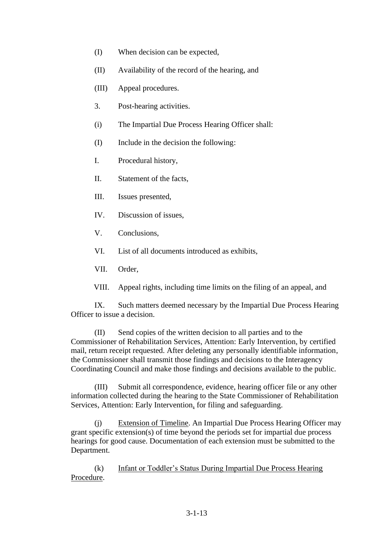- (I) When decision can be expected,
- (II) Availability of the record of the hearing, and
- (III) Appeal procedures.
- 3. Post-hearing activities.
- (i) The Impartial Due Process Hearing Officer shall:
- (I) Include in the decision the following:
- I. Procedural history,
- II. Statement of the facts,
- III. Issues presented,
- IV. Discussion of issues,
- V. Conclusions,
- VI. List of all documents introduced as exhibits,
- VII. Order,
- VIII. Appeal rights, including time limits on the filing of an appeal, and

IX. Such matters deemed necessary by the Impartial Due Process Hearing Officer to issue a decision.

(II) Send copies of the written decision to all parties and to the Commissioner of Rehabilitation Services, Attention: Early Intervention, by certified mail, return receipt requested. After deleting any personally identifiable information, the Commissioner shall transmit those findings and decisions to the Interagency Coordinating Council and make those findings and decisions available to the public.

(III) Submit all correspondence, evidence, hearing officer file or any other information collected during the hearing to the State Commissioner of Rehabilitation Services, Attention: Early Intervention, for filing and safeguarding.

(j) Extension of Timeline. An Impartial Due Process Hearing Officer may grant specific extension(s) of time beyond the periods set for impartial due process hearings for good cause. Documentation of each extension must be submitted to the Department.

(k) Infant or Toddler's Status During Impartial Due Process Hearing Procedure.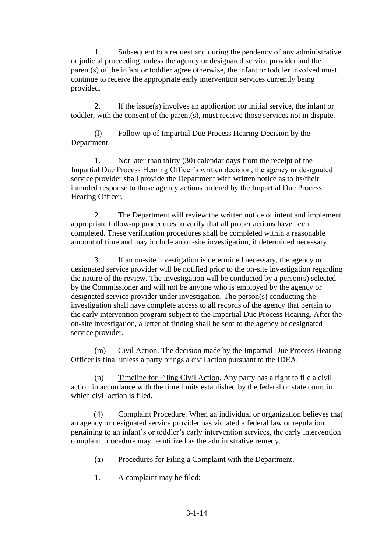1. Subsequent to a request and during the pendency of any administrative or judicial proceeding, unless the agency or designated service provider and the parent(s) of the infant or toddler agree otherwise, the infant or toddler involved must continue to receive the appropriate early intervention services currently being provided.

2. If the issue(s) involves an application for initial service, the infant or toddler, with the consent of the parent(s), must receive those services not in dispute.

# (l) Follow-up of Impartial Due Process Hearing Decision by the Department.

1. Not later than thirty (30) calendar days from the receipt of the Impartial Due Process Hearing Officer's written decision, the agency or designated service provider shall provide the Department with written notice as to its/their intended response to those agency actions ordered by the Impartial Due Process Hearing Officer.

2. The Department will review the written notice of intent and implement appropriate follow-up procedures to verify that all proper actions have been completed. These verification procedures shall be completed within a reasonable amount of time and may include an on-site investigation, if determined necessary.

3. If an on-site investigation is determined necessary, the agency or designated service provider will be notified prior to the on-site investigation regarding the nature of the review. The investigation will be conducted by a person(s) selected by the Commissioner and will not be anyone who is employed by the agency or designated service provider under investigation. The person(s) conducting the investigation shall have complete access to all records of the agency that pertain to the early intervention program subject to the Impartial Due Process Hearing. After the on-site investigation, a letter of finding shall be sent to the agency or designated service provider.

(m) Civil Action. The decision made by the Impartial Due Process Hearing Officer is final unless a party brings a civil action pursuant to the IDEA.

(n) Timeline for Filing Civil Action. Any party has a right to file a civil action in accordance with the time limits established by the federal or state court in which civil action is filed.

(4) Complaint Procedure. When an individual or organization believes that an agency or designated service provider has violated a federal law or regulation pertaining to an infant's or toddler's early intervention services, the early intervention complaint procedure may be utilized as the administrative remedy.

- (a) Procedures for Filing a Complaint with the Department.
- 1. A complaint may be filed: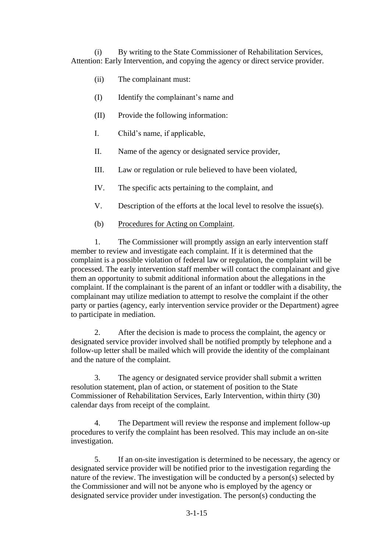(i) By writing to the State Commissioner of Rehabilitation Services, Attention: Early Intervention, and copying the agency or direct service provider.

- (ii) The complainant must:
- (I) Identify the complainant's name and
- (II) Provide the following information:
- I. Child's name, if applicable,
- II. Name of the agency or designated service provider,
- III. Law or regulation or rule believed to have been violated,
- IV. The specific acts pertaining to the complaint, and
- V. Description of the efforts at the local level to resolve the issue(s).
- (b) Procedures for Acting on Complaint.

1. The Commissioner will promptly assign an early intervention staff member to review and investigate each complaint. If it is determined that the complaint is a possible violation of federal law or regulation, the complaint will be processed. The early intervention staff member will contact the complainant and give them an opportunity to submit additional information about the allegations in the complaint. If the complainant is the parent of an infant or toddler with a disability, the complainant may utilize mediation to attempt to resolve the complaint if the other party or parties (agency, early intervention service provider or the Department) agree to participate in mediation.

2. After the decision is made to process the complaint, the agency or designated service provider involved shall be notified promptly by telephone and a follow-up letter shall be mailed which will provide the identity of the complainant and the nature of the complaint.

3. The agency or designated service provider shall submit a written resolution statement, plan of action, or statement of position to the State Commissioner of Rehabilitation Services, Early Intervention, within thirty (30) calendar days from receipt of the complaint.

4. The Department will review the response and implement follow-up procedures to verify the complaint has been resolved. This may include an on-site investigation.

5. If an on-site investigation is determined to be necessary, the agency or designated service provider will be notified prior to the investigation regarding the nature of the review. The investigation will be conducted by a person(s) selected by the Commissioner and will not be anyone who is employed by the agency or designated service provider under investigation. The person(s) conducting the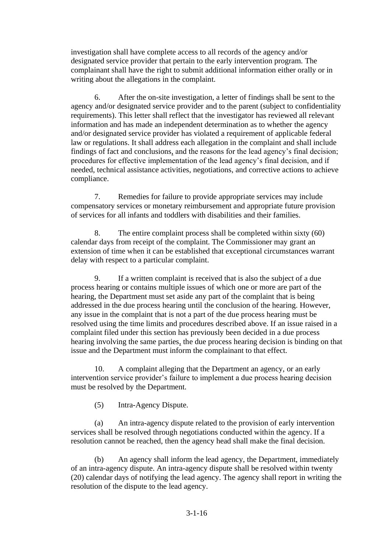investigation shall have complete access to all records of the agency and/or designated service provider that pertain to the early intervention program. The complainant shall have the right to submit additional information either orally or in writing about the allegations in the complaint.

6. After the on-site investigation, a letter of findings shall be sent to the agency and/or designated service provider and to the parent (subject to confidentiality requirements). This letter shall reflect that the investigator has reviewed all relevant information and has made an independent determination as to whether the agency and/or designated service provider has violated a requirement of applicable federal law or regulations. It shall address each allegation in the complaint and shall include findings of fact and conclusions, and the reasons for the lead agency's final decision; procedures for effective implementation of the lead agency's final decision, and if needed, technical assistance activities, negotiations, and corrective actions to achieve compliance.

7. Remedies for failure to provide appropriate services may include compensatory services or monetary reimbursement and appropriate future provision of services for all infants and toddlers with disabilities and their families.

8. The entire complaint process shall be completed within sixty (60) calendar days from receipt of the complaint. The Commissioner may grant an extension of time when it can be established that exceptional circumstances warrant delay with respect to a particular complaint.

9. If a written complaint is received that is also the subject of a due process hearing or contains multiple issues of which one or more are part of the hearing, the Department must set aside any part of the complaint that is being addressed in the due process hearing until the conclusion of the hearing. However, any issue in the complaint that is not a part of the due process hearing must be resolved using the time limits and procedures described above. If an issue raised in a complaint filed under this section has previously been decided in a due process hearing involving the same parties, the due process hearing decision is binding on that issue and the Department must inform the complainant to that effect.

10. A complaint alleging that the Department an agency, or an early intervention service provider's failure to implement a due process hearing decision must be resolved by the Department.

(5) Intra-Agency Dispute.

(a) An intra-agency dispute related to the provision of early intervention services shall be resolved through negotiations conducted within the agency. If a resolution cannot be reached, then the agency head shall make the final decision.

(b) An agency shall inform the lead agency, the Department, immediately of an intra-agency dispute. An intra-agency dispute shall be resolved within twenty (20) calendar days of notifying the lead agency. The agency shall report in writing the resolution of the dispute to the lead agency.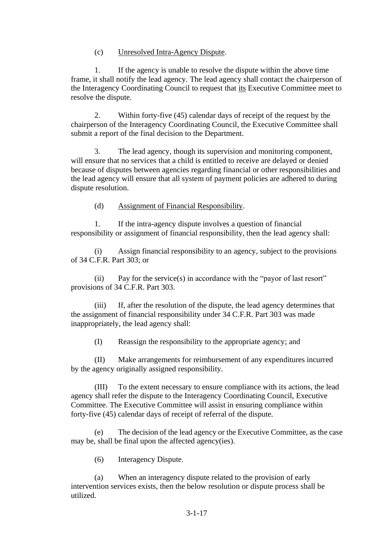## (c) Unresolved Intra-Agency Dispute.

1. If the agency is unable to resolve the dispute within the above time frame, it shall notify the lead agency. The lead agency shall contact the chairperson of the Interagency Coordinating Council to request that its Executive Committee meet to resolve the dispute.

2. Within forty-five (45) calendar days of receipt of the request by the chairperson of the Interagency Coordinating Council, the Executive Committee shall submit a report of the final decision to the Department.

3. The lead agency, though its supervision and monitoring component, will ensure that no services that a child is entitled to receive are delayed or denied because of disputes between agencies regarding financial or other responsibilities and the lead agency will ensure that all system of payment policies are adhered to during dispute resolution.

(d) Assignment of Financial Responsibility.

1. If the intra-agency dispute involves a question of financial responsibility or assignment of financial responsibility, then the lead agency shall:

(i) Assign financial responsibility to an agency, subject to the provisions of 34 C.F.R. Part 303; or

(ii) Pay for the service(s) in accordance with the "payor of last resort" provisions of 34 C.F.R. Part 303.

(iii) If, after the resolution of the dispute, the lead agency determines that the assignment of financial responsibility under 34 C.F.R. Part 303 was made inappropriately, the lead agency shall:

(I) Reassign the responsibility to the appropriate agency; and

(II) Make arrangements for reimbursement of any expenditures incurred by the agency originally assigned responsibility.

(III) To the extent necessary to ensure compliance with its actions, the lead agency shall refer the dispute to the Interagency Coordinating Council, Executive Committee. The Executive Committee will assist in ensuring compliance within forty-five (45) calendar days of receipt of referral of the dispute.

(e) The decision of the lead agency or the Executive Committee, as the case may be, shall be final upon the affected agency(ies).

(6) Interagency Dispute.

(a) When an interagency dispute related to the provision of early intervention services exists, then the below resolution or dispute process shall be utilized.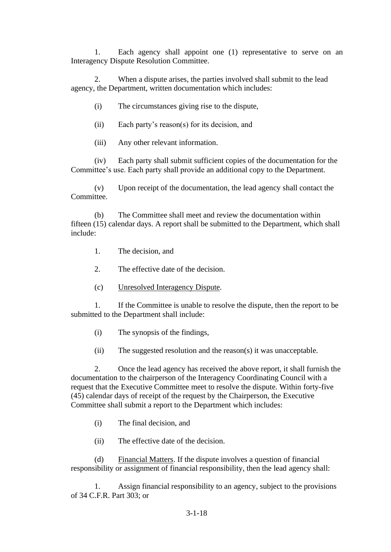1. Each agency shall appoint one (1) representative to serve on an Interagency Dispute Resolution Committee.

2. When a dispute arises, the parties involved shall submit to the lead agency, the Department, written documentation which includes:

- (i) The circumstances giving rise to the dispute,
- (ii) Each party's reason(s) for its decision, and
- (iii) Any other relevant information.

(iv) Each party shall submit sufficient copies of the documentation for the Committee's use. Each party shall provide an additional copy to the Department.

(v) Upon receipt of the documentation, the lead agency shall contact the Committee.

(b) The Committee shall meet and review the documentation within fifteen (15) calendar days. A report shall be submitted to the Department, which shall include:

- 1. The decision, and
- 2. The effective date of the decision.
- (c) Unresolved Interagency Dispute.

1. If the Committee is unable to resolve the dispute, then the report to be submitted to the Department shall include:

- (i) The synopsis of the findings,
- (ii) The suggested resolution and the reason(s) it was unacceptable.

2. Once the lead agency has received the above report, it shall furnish the documentation to the chairperson of the Interagency Coordinating Council with a request that the Executive Committee meet to resolve the dispute. Within forty-five (45) calendar days of receipt of the request by the Chairperson, the Executive Committee shall submit a report to the Department which includes:

- (i) The final decision, and
- (ii) The effective date of the decision.

(d) Financial Matters. If the dispute involves a question of financial responsibility or assignment of financial responsibility, then the lead agency shall:

1. Assign financial responsibility to an agency, subject to the provisions of 34 C.F.R. Part 303; or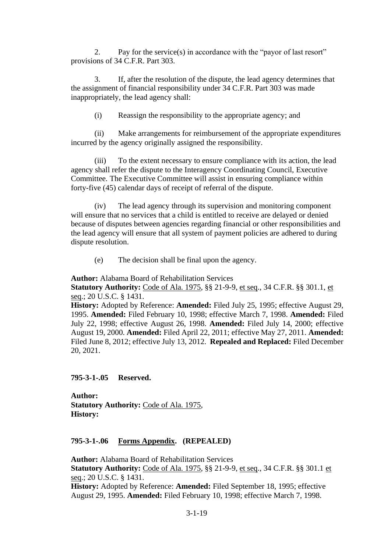2. Pay for the service(s) in accordance with the "payor of last resort" provisions of 34 C.F.R. Part 303.

3. If, after the resolution of the dispute, the lead agency determines that the assignment of financial responsibility under 34 C.F.R. Part 303 was made inappropriately, the lead agency shall:

(i) Reassign the responsibility to the appropriate agency; and

(ii) Make arrangements for reimbursement of the appropriate expenditures incurred by the agency originally assigned the responsibility.

(iii) To the extent necessary to ensure compliance with its action, the lead agency shall refer the dispute to the Interagency Coordinating Council, Executive Committee. The Executive Committee will assist in ensuring compliance within forty-five (45) calendar days of receipt of referral of the dispute.

(iv) The lead agency through its supervision and monitoring component will ensure that no services that a child is entitled to receive are delayed or denied because of disputes between agencies regarding financial or other responsibilities and the lead agency will ensure that all system of payment policies are adhered to during dispute resolution.

(e) The decision shall be final upon the agency.

**Author:** Alabama Board of Rehabilitation Services

**Statutory Authority:** Code of Ala. 1975, §§ 21-9-9, et seq., 34 C.F.R. §§ 301.1, et seq.; 20 U.S.C. § 1431.

**History:** Adopted by Reference: **Amended:** Filed July 25, 1995; effective August 29, 1995. **Amended:** Filed February 10, 1998; effective March 7, 1998. **Amended:** Filed July 22, 1998; effective August 26, 1998. **Amended:** Filed July 14, 2000; effective August 19, 2000. **Amended:** Filed April 22, 2011; effective May 27, 2011. **Amended:**  Filed June 8, 2012; effective July 13, 2012. **Repealed and Replaced:** Filed December 20, 2021.

**795-3-1-.05 Reserved.** 

**Author: Statutory Authority:** Code of Ala. 1975, **History:**

**795-3-1-.06 Forms Appendix. (REPEALED)**

**Author:** Alabama Board of Rehabilitation Services

**Statutory Authority:** Code of Ala. 1975, §§ 21-9-9, et seq., 34 C.F.R. §§ 301.1 et seq.; 20 U.S.C. § 1431.

**History:** Adopted by Reference: **Amended:** Filed September 18, 1995; effective August 29, 1995. **Amended:** Filed February 10, 1998; effective March 7, 1998.